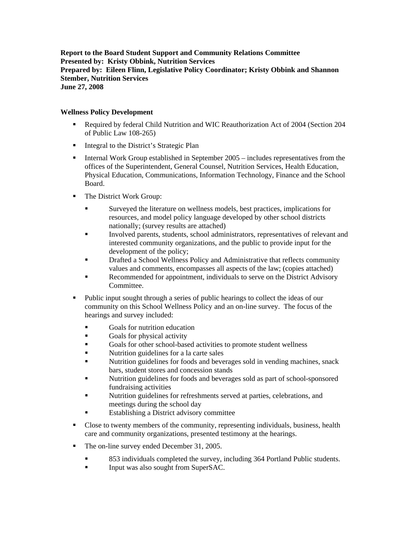**Report to the Board Student Support and Community Relations Committee Presented by: Kristy Obbink, Nutrition Services Prepared by: Eileen Flinn, Legislative Policy Coordinator; Kristy Obbink and Shannon Stember, Nutrition Services June 27, 2008** 

## **Wellness Policy Development**

- Required by federal Child Nutrition and WIC Reauthorization Act of 2004 (Section 204 of Public Law 108-265)
- Integral to the District's Strategic Plan
- Internal Work Group established in September  $2005 \text{includes representatives from the}$ offices of the Superintendent, General Counsel, Nutrition Services, Health Education, Physical Education, Communications, Information Technology, Finance and the School Board.
- **The District Work Group:** 
	- Surveyed the literature on wellness models, best practices, implications for resources, and model policy language developed by other school districts nationally; (survey results are attached)
	- Involved parents, students, school administrators, representatives of relevant and interested community organizations, and the public to provide input for the development of the policy;
	- Drafted a School Wellness Policy and Administrative that reflects community values and comments, encompasses all aspects of the law; (copies attached)
	- Recommended for appointment, individuals to serve on the District Advisory Committee.
- Public input sought through a series of public hearings to collect the ideas of our community on this School Wellness Policy and an on-line survey. The focus of the hearings and survey included:
	- Goals for nutrition education
	- Goals for physical activity
	- Goals for other school-based activities to promote student wellness
	- Nutrition guidelines for a la carte sales
	- Nutrition guidelines for foods and beverages sold in vending machines, snack bars, student stores and concession stands
	- Nutrition guidelines for foods and beverages sold as part of school-sponsored fundraising activities
	- Nutrition guidelines for refreshments served at parties, celebrations, and meetings during the school day
	- Establishing a District advisory committee
- Close to twenty members of the community, representing individuals, business, health care and community organizations, presented testimony at the hearings.
- The on-line survey ended December 31, 2005.
	- 853 individuals completed the survey, including 364 Portland Public students.
	- Input was also sought from SuperSAC.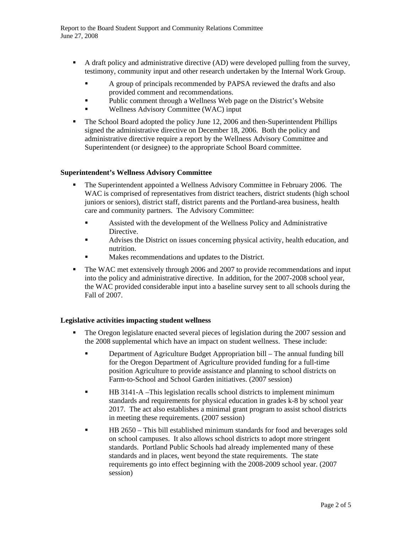- A draft policy and administrative directive (AD) were developed pulling from the survey, testimony, community input and other research undertaken by the Internal Work Group.
	- A group of principals recommended by PAPSA reviewed the drafts and also provided comment and recommendations.
	- Public comment through a Wellness Web page on the District's Website
	- Wellness Advisory Committee (WAC) input
- The School Board adopted the policy June 12, 2006 and then-Superintendent Phillips signed the administrative directive on December 18, 2006. Both the policy and administrative directive require a report by the Wellness Advisory Committee and Superintendent (or designee) to the appropriate School Board committee.

## **Superintendent's Wellness Advisory Committee**

- The Superintendent appointed a Wellness Advisory Committee in February 2006. The WAC is comprised of representatives from district teachers, district students (high school juniors or seniors), district staff, district parents and the Portland-area business, health care and community partners. The Advisory Committee:
	- Assisted with the development of the Wellness Policy and Administrative Directive.
	- Advises the District on issues concerning physical activity, health education, and nutrition.
	- Makes recommendations and updates to the District.
- The WAC met extensively through 2006 and 2007 to provide recommendations and input into the policy and administrative directive. In addition, for the 2007-2008 school year, the WAC provided considerable input into a baseline survey sent to all schools during the Fall of 2007.

## **Legislative activities impacting student wellness**

- The Oregon legislature enacted several pieces of legislation during the 2007 session and the 2008 supplemental which have an impact on student wellness. These include:
	- Department of Agriculture Budget Appropriation bill The annual funding bill for the Oregon Department of Agriculture provided funding for a full-time position Agriculture to provide assistance and planning to school districts on Farm-to-School and School Garden initiatives. (2007 session)
	- **HB** 3141-A –This legislation recalls school districts to implement minimum standards and requirements for physical education in grades k-8 by school year 2017. The act also establishes a minimal grant program to assist school districts in meeting these requirements. (2007 session)
	- HB 2650 This bill established minimum standards for food and beverages sold on school campuses. It also allows school districts to adopt more stringent standards. Portland Public Schools had already implemented many of these standards and in places, went beyond the state requirements. The state requirements go into effect beginning with the 2008-2009 school year. (2007 session)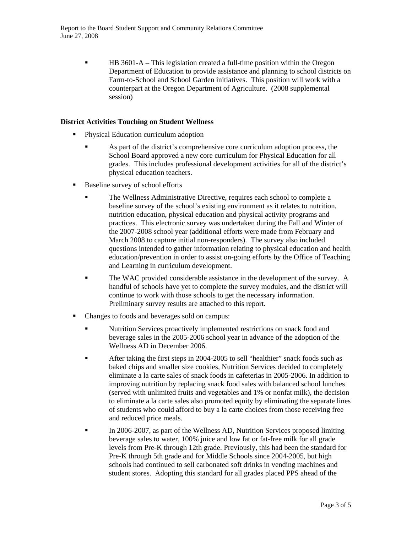HB 3601-A – This legislation created a full-time position within the Oregon Department of Education to provide assistance and planning to school districts on Farm-to-School and School Garden initiatives. This position will work with a counterpart at the Oregon Department of Agriculture. (2008 supplemental session)

## **District Activities Touching on Student Wellness**

- **Physical Education curriculum adoption** 
	- As part of the district's comprehensive core curriculum adoption process, the School Board approved a new core curriculum for Physical Education for all grades. This includes professional development activities for all of the district's physical education teachers.
- Baseline survey of school efforts
	- The Wellness Administrative Directive, requires each school to complete a baseline survey of the school's existing environment as it relates to nutrition, nutrition education, physical education and physical activity programs and practices. This electronic survey was undertaken during the Fall and Winter of the 2007-2008 school year (additional efforts were made from February and March 2008 to capture initial non-responders). The survey also included questions intended to gather information relating to physical education and health education/prevention in order to assist on-going efforts by the Office of Teaching and Learning in curriculum development.
	- The WAC provided considerable assistance in the development of the survey. A handful of schools have yet to complete the survey modules, and the district will continue to work with those schools to get the necessary information. Preliminary survey results are attached to this report.
- Changes to foods and beverages sold on campus:
	- Nutrition Services proactively implemented restrictions on snack food and beverage sales in the 2005-2006 school year in advance of the adoption of the Wellness AD in December 2006.
	- After taking the first steps in 2004-2005 to sell "healthier" snack foods such as baked chips and smaller size cookies, Nutrition Services decided to completely eliminate a la carte sales of snack foods in cafeterias in 2005-2006. In addition to improving nutrition by replacing snack food sales with balanced school lunches (served with unlimited fruits and vegetables and 1% or nonfat milk), the decision to eliminate a la carte sales also promoted equity by eliminating the separate lines of students who could afford to buy a la carte choices from those receiving free and reduced price meals.
	- In 2006-2007, as part of the Wellness AD, Nutrition Services proposed limiting beverage sales to water, 100% juice and low fat or fat-free milk for all grade levels from Pre-K through 12th grade. Previously, this had been the standard for Pre-K through 5th grade and for Middle Schools since 2004-2005, but high schools had continued to sell carbonated soft drinks in vending machines and student stores. Adopting this standard for all grades placed PPS ahead of the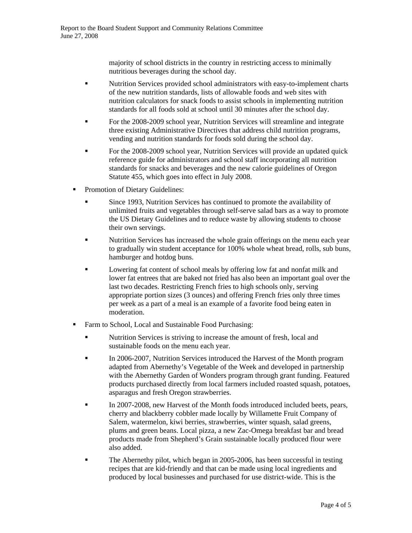majority of school districts in the country in restricting access to minimally nutritious beverages during the school day.

- Nutrition Services provided school administrators with easy-to-implement charts of the new nutrition standards, lists of allowable foods and web sites with nutrition calculators for snack foods to assist schools in implementing nutrition standards for all foods sold at school until 30 minutes after the school day.
- For the 2008-2009 school year, Nutrition Services will streamline and integrate three existing Administrative Directives that address child nutrition programs, vending and nutrition standards for foods sold during the school day.
- For the 2008-2009 school year, Nutrition Services will provide an updated quick reference guide for administrators and school staff incorporating all nutrition standards for snacks and beverages and the new calorie guidelines of Oregon Statute 455, which goes into effect in July 2008.
- Promotion of Dietary Guidelines:
	- Since 1993, Nutrition Services has continued to promote the availability of unlimited fruits and vegetables through self-serve salad bars as a way to promote the US Dietary Guidelines and to reduce waste by allowing students to choose their own servings.
	- **Nutrition Services has increased the whole grain offerings on the menu each year** to gradually win student acceptance for 100% whole wheat bread, rolls, sub buns, hamburger and hotdog buns.
	- **Example 3** Lowering fat content of school meals by offering low fat and nonfat milk and lower fat entrees that are baked not fried has also been an important goal over the last two decades. Restricting French fries to high schools only, serving appropriate portion sizes (3 ounces) and offering French fries only three times per week as a part of a meal is an example of a favorite food being eaten in moderation.
- Farm to School, Local and Sustainable Food Purchasing:
	- Nutrition Services is striving to increase the amount of fresh, local and sustainable foods on the menu each year.
	- In 2006-2007, Nutrition Services introduced the Harvest of the Month program adapted from Abernethy's Vegetable of the Week and developed in partnership with the Abernethy Garden of Wonders program through grant funding. Featured products purchased directly from local farmers included roasted squash, potatoes, asparagus and fresh Oregon strawberries.
	- In 2007-2008, new Harvest of the Month foods introduced included beets, pears, cherry and blackberry cobbler made locally by Willamette Fruit Company of Salem, watermelon, kiwi berries, strawberries, winter squash, salad greens, plums and green beans. Local pizza, a new Zac-Omega breakfast bar and bread products made from Shepherd's Grain sustainable locally produced flour were also added.
	- The Abernethy pilot, which began in 2005-2006, has been successful in testing recipes that are kid-friendly and that can be made using local ingredients and produced by local businesses and purchased for use district-wide. This is the